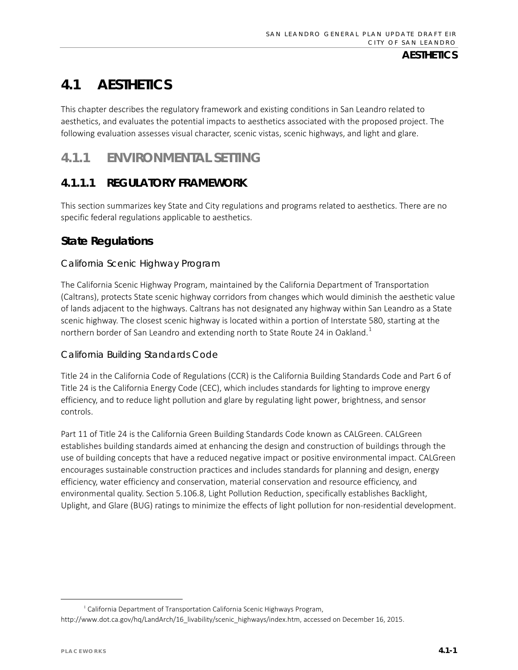# **4.1 AESTHETICS**

This chapter describes the regulatory framework and existing conditions in San Leandro related to aesthetics, and evaluates the potential impacts to aesthetics associated with the proposed project. The following evaluation assesses visual character, scenic vistas, scenic highways, and light and glare.

# **4.1.1 ENVIRONMENTAL SETTING**

# **4.1.1.1 REGULATORY FRAMEWORK**

This section summarizes key State and City regulations and programs related to aesthetics. There are no specific federal regulations applicable to aesthetics.

# **State Regulations**

#### *California Scenic Highway Program*

The California Scenic Highway Program, maintained by the California Department of Transportation (Caltrans), protects State scenic highway corridors from changes which would diminish the aesthetic value of lands adjacent to the highways. Caltrans has not designated any highway within San Leandro as a State scenic highway. The closest scenic highway is located within a portion of Interstate 580, starting at the northern border of San Leandro and extending north to State Route 24 in Oakland.<sup>[1](#page-0-0)</sup>

#### *California Building Standards Code*

Title 24 in the California Code of Regulations (CCR) is the California Building Standards Code and Part 6 of Title 24 is the California Energy Code (CEC), which includes standards for lighting to improve energy efficiency, and to reduce light pollution and glare by regulating light power, brightness, and sensor controls.

Part 11 of Title 24 is the California Green Building Standards Code known as CALGreen. CALGreen establishes building standards aimed at enhancing the design and construction of buildings through the use of building concepts that have a reduced negative impact or positive environmental impact. CALGreen encourages sustainable construction practices and includes standards for planning and design, energy efficiency, water efficiency and conservation, material conservation and resource efficiency, and environmental quality. Section 5.106.8, Light Pollution Reduction, specifically establishes Backlight, Uplight, and Glare (BUG) ratings to minimize the effects of light pollution for non-residential development.

<span id="page-0-0"></span><sup>&</sup>lt;sup>1</sup> California Department of Transportation California Scenic Highways Program, http://www.dot.ca.gov/hq/LandArch/16\_livability/scenic\_highways/index.htm, accessed on December 16, 2015.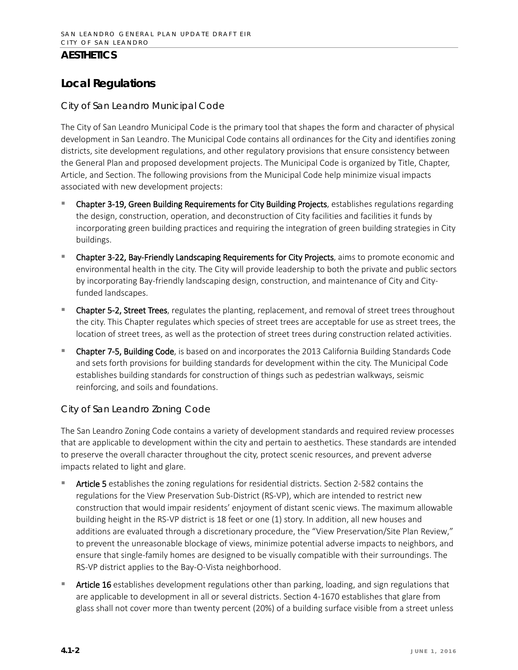# **Local Regulations**

#### *City of San Leandro Municipal Code*

The City of San Leandro Municipal Code is the primary tool that shapes the form and character of physical development in San Leandro. The Municipal Code contains all ordinances for the City and identifies zoning districts, site development regulations, and other regulatory provisions that ensure consistency between the General Plan and proposed development projects. The Municipal Code is organized by Title, Chapter, Article, and Section. The following provisions from the Municipal Code help minimize visual impacts associated with new development projects:

- Chapter 3-19, Green Building Requirements for City Building Projects, establishes regulations regarding the design, construction, operation, and deconstruction of City facilities and facilities it funds by incorporating green building practices and requiring the integration of green building strategies in City buildings.
- Chapter 3-22, Bay-Friendly Landscaping Requirements for City Projects, aims to promote economic and environmental health in the city. The City will provide leadership to both the private and public sectors by incorporating Bay-friendly landscaping design, construction, and maintenance of City and Cityfunded landscapes.
- Chapter 5-2, Street Trees, regulates the planting, replacement, and removal of street trees throughout the city. This Chapter regulates which species of street trees are acceptable for use as street trees, the location of street trees, as well as the protection of street trees during construction related activities.
- Chapter 7-5, Building Code, is based on and incorporates the 2013 California Building Standards Code and sets forth provisions for building standards for development within the city. The Municipal Code establishes building standards for construction of things such as pedestrian walkways, seismic reinforcing, and soils and foundations.

#### *City of San Leandro Zoning Code*

The San Leandro Zoning Code contains a variety of development standards and required review processes that are applicable to development within the city and pertain to aesthetics. These standards are intended to preserve the overall character throughout the city, protect scenic resources, and prevent adverse impacts related to light and glare.

- Article 5 establishes the zoning regulations for residential districts. Section 2-582 contains the regulations for the View Preservation Sub-District (RS-VP), which are intended to restrict new construction that would impair residents' enjoyment of distant scenic views. The maximum allowable building height in the RS-VP district is 18 feet or one (1) story. In addition, all new houses and additions are evaluated through a discretionary procedure, the "View Preservation/Site Plan Review," to prevent the unreasonable blockage of views, minimize potential adverse impacts to neighbors, and ensure that single-family homes are designed to be visually compatible with their surroundings. The RS-VP district applies to the Bay-O-Vista neighborhood.
- Article 16 establishes development regulations other than parking, loading, and sign regulations that are applicable to development in all or several districts. Section 4-1670 establishes that glare from glass shall not cover more than twenty percent (20%) of a building surface visible from a street unless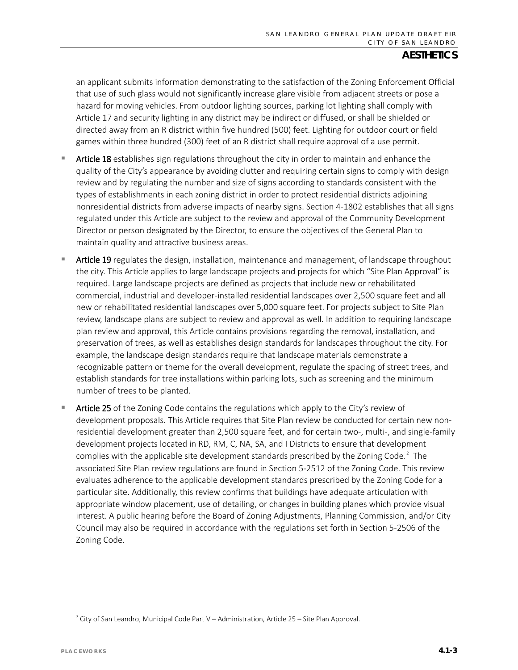an applicant submits information demonstrating to the satisfaction of the Zoning Enforcement Official that use of such glass would not significantly increase glare visible from adjacent streets or pose a hazard for moving vehicles. From outdoor lighting sources, parking lot lighting shall comply with Article 17 and security lighting in any district may be indirect or diffused, or shall be shielded or directed away from an R district within five hundred (500) feet. Lighting for outdoor court or field games within three hundred (300) feet of an R district shall require approval of a use permit.

- Article 18 establishes sign regulations throughout the city in order to maintain and enhance the quality of the City's appearance by avoiding clutter and requiring certain signs to comply with design review and by regulating the number and size of signs according to standards consistent with the types of establishments in each zoning district in order to protect residential districts adjoining nonresidential districts from adverse impacts of nearby signs. Section 4-1802 establishes that all signs regulated under this Article are subject to the review and approval of the Community Development Director or person designated by the Director, to ensure the objectives of the General Plan to maintain quality and attractive business areas.
- Article 19 regulates the design, installation, maintenance and management, of landscape throughout the city. This Article applies to large landscape projects and projects for which "Site Plan Approval" is required. Large landscape projects are defined as projects that include new or rehabilitated commercial, industrial and developer-installed residential landscapes over 2,500 square feet and all new or rehabilitated residential landscapes over 5,000 square feet. For projects subject to Site Plan review, landscape plans are subject to review and approval as well. In addition to requiring landscape plan review and approval, this Article contains provisions regarding the removal, installation, and preservation of trees, as well as establishes design standards for landscapes throughout the city. For example, the landscape design standards require that landscape materials demonstrate a recognizable pattern or theme for the overall development, regulate the spacing of street trees, and establish standards for tree installations within parking lots, such as screening and the minimum number of trees to be planted.
- Article 25 of the Zoning Code contains the regulations which apply to the City's review of development proposals. This Article requires that Site Plan review be conducted for certain new nonresidential development greater than 2,500 square feet, and for certain two-, multi-, and single-family development projects located in RD, RM, C, NA, SA, and I Districts to ensure that development complies with the applicable site development standards prescribed by the Zoning Code.<sup>[2](#page-2-0)</sup> The associated Site Plan review regulations are found in Section 5-2512 of the Zoning Code. This review evaluates adherence to the applicable development standards prescribed by the Zoning Code for a particular site. Additionally, this review confirms that buildings have adequate articulation with appropriate window placement, use of detailing, or changes in building planes which provide visual interest. A public hearing before the Board of Zoning Adjustments, Planning Commission, and/or City Council may also be required in accordance with the regulations set forth in Section 5-2506 of the Zoning Code.

<span id="page-2-0"></span><sup>2</sup> City of San Leandro, Municipal Code Part V – Administration, Article 25 – Site Plan Approval.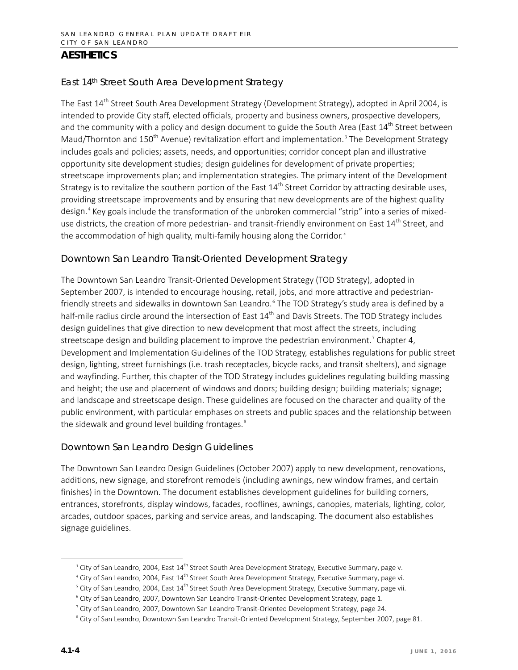#### *East 14th Street South Area Development Strategy*

The East 14<sup>th</sup> Street South Area Development Strategy (Development Strategy), adopted in April 2004, is intended to provide City staff, elected officials, property and business owners, prospective developers, and the community with a policy and design document to guide the South Area (East 14<sup>th</sup> Street between Maud/Thornton and 150<sup>th</sup> Avenue) revitalization effort and implementation.<sup>[3](#page-3-0)</sup> The Development Strategy includes goals and policies; assets, needs, and opportunities; corridor concept plan and illustrative opportunity site development studies; design guidelines for development of private properties; streetscape improvements plan; and implementation strategies. The primary intent of the Development Strategy is to revitalize the southern portion of the East  $14^{th}$  Street Corridor by attracting desirable uses, providing streetscape improvements and by ensuring that new developments are of the highest quality design.[4](#page-3-1) Key goals include the transformation of the unbroken commercial "strip" into a series of mixeduse districts, the creation of more pedestrian- and transit-friendly environment on East 14<sup>th</sup> Street, and the accommodation of high quality, multi-family housing along the Corridor.<sup>[5](#page-3-2)</sup>

#### *Downtown San Leandro Transit-Oriented Development Strategy*

The Downtown San Leandro Transit-Oriented Development Strategy (TOD Strategy), adopted in September 2007, is intended to encourage housing, retail, jobs, and more attractive and pedestrian-friendly streets and sidewalks in downtown San Leandro.<sup>[6](#page-3-3)</sup> The TOD Strategy's study area is defined by a half-mile radius circle around the intersection of East 14<sup>th</sup> and Davis Streets. The TOD Strategy includes design guidelines that give direction to new development that most affect the streets, including streetscape design and building placement to improve the pedestrian environment.<sup>[7](#page-3-4)</sup> Chapter 4, Development and Implementation Guidelines of the TOD Strategy, establishes regulations for public street design, lighting, street furnishings (i.e. trash receptacles, bicycle racks, and transit shelters), and signage and wayfinding. Further, this chapter of the TOD Strategy includes guidelines regulating building massing and height; the use and placement of windows and doors; building design; building materials; signage; and landscape and streetscape design. These guidelines are focused on the character and quality of the public environment, with particular emphases on streets and public spaces and the relationship between the sidewalk and ground level building frontages. $8$ 

#### *Downtown San Leandro Design Guidelines*

The Downtown San Leandro Design Guidelines (October 2007) apply to new development, renovations, additions, new signage, and storefront remodels (including awnings, new window frames, and certain finishes) in the Downtown. The document establishes development guidelines for building corners, entrances, storefronts, display windows, facades, rooflines, awnings, canopies, materials, lighting, color, arcades, outdoor spaces, parking and service areas, and landscaping. The document also establishes signage guidelines.

<span id="page-3-0"></span><sup>&</sup>lt;sup>3</sup> City of San Leandro, 2004, East 14<sup>th</sup> Street South Area Development Strategy, Executive Summary, page v.

<span id="page-3-1"></span><sup>&</sup>lt;sup>+</sup> City of San Leandro, 2004, East 14<sup>th</sup> Street South Area Development Strategy, Executive Summary, page vi.

<span id="page-3-2"></span><sup>&</sup>lt;sup>5</sup> City of San Leandro, 2004, East  $14^{\text{th}}$  Street South Area Development Strategy, Executive Summary, page vii.

<span id="page-3-3"></span><sup>6</sup> City of San Leandro, 2007, Downtown San Leandro Transit-Oriented Development Strategy, page 1.

<span id="page-3-4"></span><sup>7</sup> City of San Leandro, 2007, Downtown San Leandro Transit-Oriented Development Strategy, page 24.

<span id="page-3-5"></span><sup>8</sup> City of San Leandro, Downtown San Leandro Transit-Oriented Development Strategy, September 2007, page 81.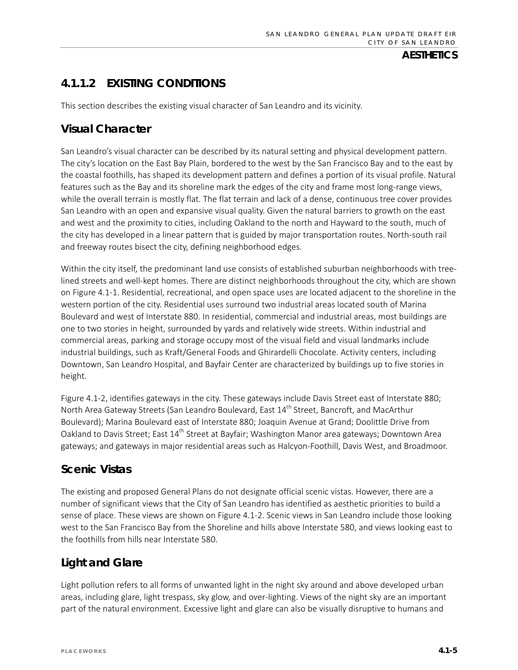# **4.1.1.2 EXISTING CONDITIONS**

This section describes the existing visual character of San Leandro and its vicinity.

# **Visual Character**

San Leandro's visual character can be described by its natural setting and physical development pattern. The city's location on the East Bay Plain, bordered to the west by the San Francisco Bay and to the east by the coastal foothills, has shaped its development pattern and defines a portion of its visual profile. Natural features such as the Bay and its shoreline mark the edges of the city and frame most long-range views, while the overall terrain is mostly flat. The flat terrain and lack of a dense, continuous tree cover provides San Leandro with an open and expansive visual quality. Given the natural barriers to growth on the east and west and the proximity to cities, including Oakland to the north and Hayward to the south, much of the city has developed in a linear pattern that is guided by major transportation routes. North-south rail and freeway routes bisect the city, defining neighborhood edges.

Within the city itself, the predominant land use consists of established suburban neighborhoods with treelined streets and well-kept homes. There are distinct neighborhoods throughout the city, which are shown on Figure 4.1-1. Residential, recreational, and open space uses are located adjacent to the shoreline in the western portion of the city. Residential uses surround two industrial areas located south of Marina Boulevard and west of Interstate 880. In residential, commercial and industrial areas, most buildings are one to two stories in height, surrounded by yards and relatively wide streets. Within industrial and commercial areas, parking and storage occupy most of the visual field and visual landmarks include industrial buildings, such as Kraft/General Foods and Ghirardelli Chocolate. Activity centers, including Downtown, San Leandro Hospital, and Bayfair Center are characterized by buildings up to five stories in height.

Figure 4.1-2, identifies gateways in the city. These gateways include Davis Street east of Interstate 880; North Area Gateway Streets (San Leandro Boulevard, East 14<sup>th</sup> Street, Bancroft, and MacArthur Boulevard); Marina Boulevard east of Interstate 880; Joaquin Avenue at Grand; Doolittle Drive from Oakland to Davis Street; East 14<sup>th</sup> Street at Bayfair; Washington Manor area gateways; Downtown Area gateways; and gateways in major residential areas such as Halcyon-Foothill, Davis West, and Broadmoor.

# **Scenic Vistas**

The existing and proposed General Plans do not designate official scenic vistas. However, there are a number of significant views that the City of San Leandro has identified as aesthetic priorities to build a sense of place. These views are shown on Figure 4.1-2. Scenic views in San Leandro include those looking west to the San Francisco Bay from the Shoreline and hills above Interstate 580, and views looking east to the foothills from hills near Interstate 580.

# **Light and Glare**

Light pollution refers to all forms of unwanted light in the night sky around and above developed urban areas, including glare, light trespass, sky glow, and over-lighting. Views of the night sky are an important part of the natural environment. Excessive light and glare can also be visually disruptive to humans and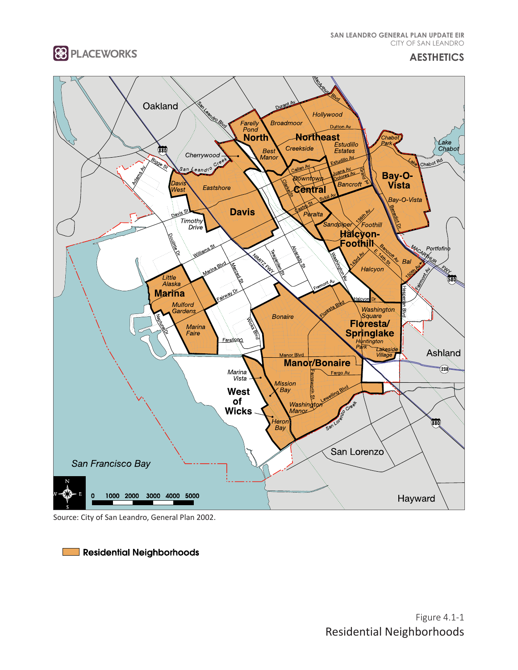**SAN LEANDRO GENERAL PLAN UPDATE EIR**  CITY OF SAN LEANDRO



**AESTHETICS**



Source: City of San Leandro, General Plan 2002.

Residential Neighborhoods **Tara**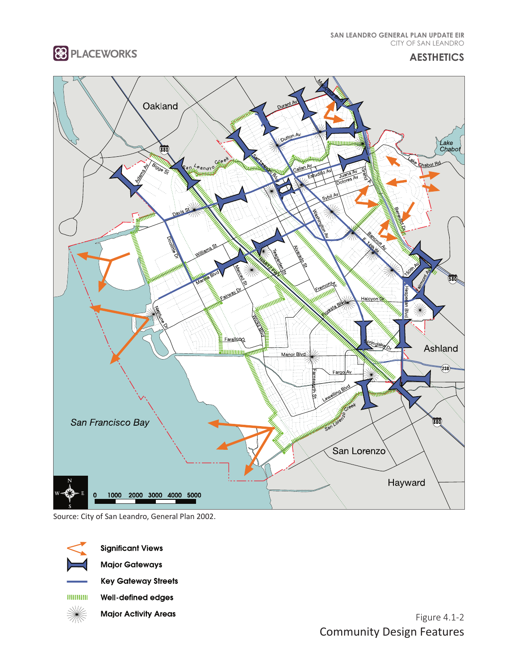**88 PLACEWORKS** 

**SAN LEANDRO GENERAL PLAN UPDATE EIR**  CITY OF SAN LEANDRO

**AESTHETICS**



Source: City of San Leandro, General Plan 2002.

**Significant Views** 

**Major Gateways** 

**Key Gateway Streets** 

 $1111111111$ Well-defined edges

☀ **Major Activity Areas** 

Figure 4.1-2 Community Design Features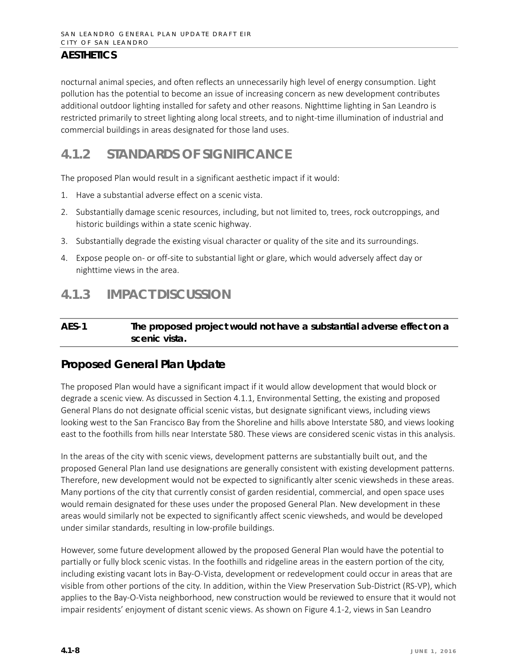nocturnal animal species, and often reflects an unnecessarily high level of energy consumption. Light pollution has the potential to become an issue of increasing concern as new development contributes additional outdoor lighting installed for safety and other reasons. Nighttime lighting in San Leandro is restricted primarily to street lighting along local streets, and to night-time illumination of industrial and commercial buildings in areas designated for those land uses.

# **4.1.2 STANDARDS OF SIGNIFICANCE**

The proposed Plan would result in a significant aesthetic impact if it would:

- 1. Have a substantial adverse effect on a scenic vista.
- 2. Substantially damage scenic resources, including, but not limited to, trees, rock outcroppings, and historic buildings within a state scenic highway.
- 3. Substantially degrade the existing visual character or quality of the site and its surroundings.
- 4. Expose people on- or off-site to substantial light or glare, which would adversely affect day or nighttime views in the area.

# **4.1.3 IMPACT DISCUSSION**

#### **AES-1 The proposed project would not have a substantial adverse effect on a scenic vista.**

### **Proposed General Plan Update**

The proposed Plan would have a significant impact if it would allow development that would block or degrade a scenic view. As discussed in Section 4.1.1, Environmental Setting, the existing and proposed General Plans do not designate official scenic vistas, but designate significant views, including views looking west to the San Francisco Bay from the Shoreline and hills above Interstate 580, and views looking east to the foothills from hills near Interstate 580. These views are considered scenic vistas in this analysis.

In the areas of the city with scenic views, development patterns are substantially built out, and the proposed General Plan land use designations are generally consistent with existing development patterns. Therefore, new development would not be expected to significantly alter scenic viewsheds in these areas. Many portions of the city that currently consist of garden residential, commercial, and open space uses would remain designated for these uses under the proposed General Plan. New development in these areas would similarly not be expected to significantly affect scenic viewsheds, and would be developed under similar standards, resulting in low-profile buildings.

However, some future development allowed by the proposed General Plan would have the potential to partially or fully block scenic vistas. In the foothills and ridgeline areas in the eastern portion of the city, including existing vacant lots in Bay-O-Vista, development or redevelopment could occur in areas that are visible from other portions of the city. In addition, within the View Preservation Sub-District (RS-VP), which applies to the Bay-O-Vista neighborhood, new construction would be reviewed to ensure that it would not impair residents' enjoyment of distant scenic views. As shown on Figure 4.1-2, views in San Leandro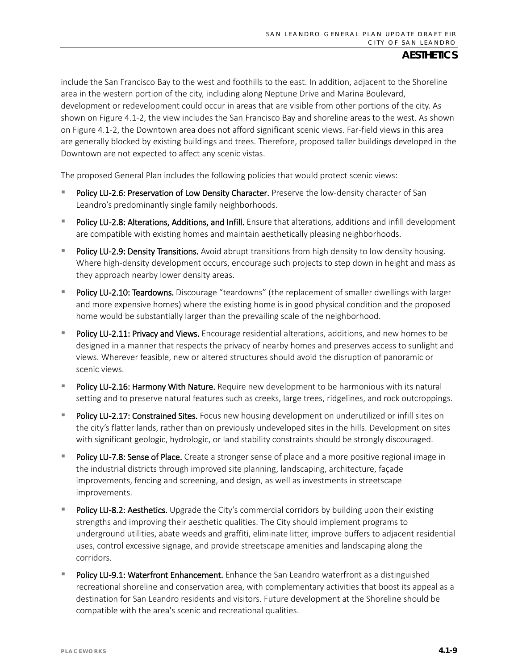include the San Francisco Bay to the west and foothills to the east. In addition, adjacent to the Shoreline area in the western portion of the city, including along Neptune Drive and Marina Boulevard, development or redevelopment could occur in areas that are visible from other portions of the city. As shown on Figure 4.1-2, the view includes the San Francisco Bay and shoreline areas to the west. As shown on Figure 4.1-2, the Downtown area does not afford significant scenic views. Far-field views in this area are generally blocked by existing buildings and trees. Therefore, proposed taller buildings developed in the Downtown are not expected to affect any scenic vistas.

The proposed General Plan includes the following policies that would protect scenic views:

- Policy LU-2.6: Preservation of Low Density Character. Preserve the low-density character of San Leandro's predominantly single family neighborhoods.
- Policy LU-2.8: Alterations, Additions, and Infill. Ensure that alterations, additions and infill development are compatible with existing homes and maintain aesthetically pleasing neighborhoods.
- Policy LU-2.9: Density Transitions. Avoid abrupt transitions from high density to low density housing. Where high-density development occurs, encourage such projects to step down in height and mass as they approach nearby lower density areas.
- Policy LU-2.10: Teardowns. Discourage "teardowns" (the replacement of smaller dwellings with larger and more expensive homes) where the existing home is in good physical condition and the proposed home would be substantially larger than the prevailing scale of the neighborhood.
- Policy LU-2.11: Privacy and Views. Encourage residential alterations, additions, and new homes to be designed in a manner that respects the privacy of nearby homes and preserves access to sunlight and views. Wherever feasible, new or altered structures should avoid the disruption of panoramic or scenic views.
- Policy LU-2.16: Harmony With Nature. Require new development to be harmonious with its natural setting and to preserve natural features such as creeks, large trees, ridgelines, and rock outcroppings.
- Policy LU-2.17: Constrained Sites. Focus new housing development on underutilized or infill sites on the city's flatter lands, rather than on previously undeveloped sites in the hills. Development on sites with significant geologic, hydrologic, or land stability constraints should be strongly discouraged.
- Policy LU-7.8: Sense of Place. Create a stronger sense of place and a more positive regional image in the industrial districts through improved site planning, landscaping, architecture, façade improvements, fencing and screening, and design, as well as investments in streetscape improvements.
- Policy LU-8.2: Aesthetics. Upgrade the City's commercial corridors by building upon their existing strengths and improving their aesthetic qualities. The City should implement programs to underground utilities, abate weeds and graffiti, eliminate litter, improve buffers to adjacent residential uses, control excessive signage, and provide streetscape amenities and landscaping along the corridors.
- Policy LU-9.1: Waterfront Enhancement. Enhance the San Leandro waterfront as a distinguished recreational shoreline and conservation area, with complementary activities that boost its appeal as a destination for San Leandro residents and visitors. Future development at the Shoreline should be compatible with the area's scenic and recreational qualities.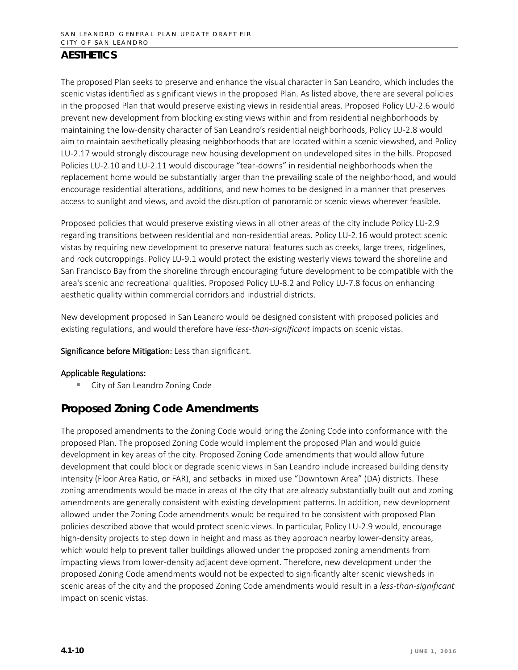The proposed Plan seeks to preserve and enhance the visual character in San Leandro, which includes the scenic vistas identified as significant views in the proposed Plan. As listed above, there are several policies in the proposed Plan that would preserve existing views in residential areas. Proposed Policy LU-2.6 would prevent new development from blocking existing views within and from residential neighborhoods by maintaining the low-density character of San Leandro's residential neighborhoods, Policy LU-2.8 would aim to maintain aesthetically pleasing neighborhoods that are located within a scenic viewshed, and Policy LU-2.17 would strongly discourage new housing development on undeveloped sites in the hills. Proposed Policies LU-2.10 and LU-2.11 would discourage "tear-downs" in residential neighborhoods when the replacement home would be substantially larger than the prevailing scale of the neighborhood, and would encourage residential alterations, additions, and new homes to be designed in a manner that preserves access to sunlight and views, and avoid the disruption of panoramic or scenic views wherever feasible.

Proposed policies that would preserve existing views in all other areas of the city include Policy LU-2.9 regarding transitions between residential and non-residential areas. Policy LU-2.16 would protect scenic vistas by requiring new development to preserve natural features such as creeks, large trees, ridgelines, and rock outcroppings. Policy LU-9.1 would protect the existing westerly views toward the shoreline and San Francisco Bay from the shoreline through encouraging future development to be compatible with the area's scenic and recreational qualities. Proposed Policy LU-8.2 and Policy LU-7.8 focus on enhancing aesthetic quality within commercial corridors and industrial districts.

New development proposed in San Leandro would be designed consistent with proposed policies and existing regulations, and would therefore have *less-than-significant* impacts on scenic vistas.

Significance before Mitigation: Less than significant.

#### Applicable Regulations:

**E** City of San Leandro Zoning Code

# **Proposed Zoning Code Amendments**

The proposed amendments to the Zoning Code would bring the Zoning Code into conformance with the proposed Plan. The proposed Zoning Code would implement the proposed Plan and would guide development in key areas of the city. Proposed Zoning Code amendments that would allow future development that could block or degrade scenic views in San Leandro include increased building density intensity (Floor Area Ratio, or FAR), and setbacks in mixed use "Downtown Area" (DA) districts. These zoning amendments would be made in areas of the city that are already substantially built out and zoning amendments are generally consistent with existing development patterns. In addition, new development allowed under the Zoning Code amendments would be required to be consistent with proposed Plan policies described above that would protect scenic views. In particular, Policy LU-2.9 would, encourage high-density projects to step down in height and mass as they approach nearby lower-density areas, which would help to prevent taller buildings allowed under the proposed zoning amendments from impacting views from lower-density adjacent development. Therefore, new development under the proposed Zoning Code amendments would not be expected to significantly alter scenic viewsheds in scenic areas of the city and the proposed Zoning Code amendments would result in a *less-than-significant* impact on scenic vistas.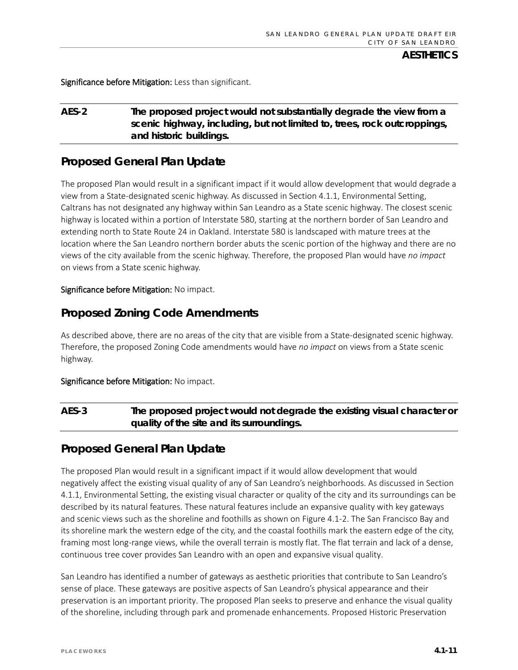Significance before Mitigation: Less than significant.

#### **AES-2 The proposed project would not substantially degrade the view from a scenic highway, including, but not limited to, trees, rock outcroppings, and historic buildings.**

### **Proposed General Plan Update**

The proposed Plan would result in a significant impact if it would allow development that would degrade a view from a State-designated scenic highway. As discussed in Section 4.1.1, Environmental Setting, Caltrans has not designated any highway within San Leandro as a State scenic highway. The closest scenic highway is located within a portion of Interstate 580, starting at the northern border of San Leandro and extending north to State Route 24 in Oakland. Interstate 580 is landscaped with mature trees at the location where the San Leandro northern border abuts the scenic portion of the highway and there are no views of the city available from the scenic highway. Therefore, the proposed Plan would have *no impact* on views from a State scenic highway.

#### Significance before Mitigation: No impact.

### **Proposed Zoning Code Amendments**

As described above, there are no areas of the city that are visible from a State-designated scenic highway. Therefore, the proposed Zoning Code amendments would have *no impact* on views from a State scenic highway.

#### Significance before Mitigation: No impact.

### **AES-3 The proposed project would not degrade the existing visual character or quality of the site and its surroundings.**

### **Proposed General Plan Update**

The proposed Plan would result in a significant impact if it would allow development that would negatively affect the existing visual quality of any of San Leandro's neighborhoods. As discussed in Section 4.1.1, Environmental Setting, the existing visual character or quality of the city and its surroundings can be described by its natural features. These natural features include an expansive quality with key gateways and scenic views such as the shoreline and foothills as shown on Figure 4.1-2. The San Francisco Bay and its shoreline mark the western edge of the city, and the coastal foothills mark the eastern edge of the city, framing most long-range views, while the overall terrain is mostly flat. The flat terrain and lack of a dense, continuous tree cover provides San Leandro with an open and expansive visual quality.

San Leandro has identified a number of gateways as aesthetic priorities that contribute to San Leandro's sense of place. These gateways are positive aspects of San Leandro's physical appearance and their preservation is an important priority. The proposed Plan seeks to preserve and enhance the visual quality of the shoreline, including through park and promenade enhancements. Proposed Historic Preservation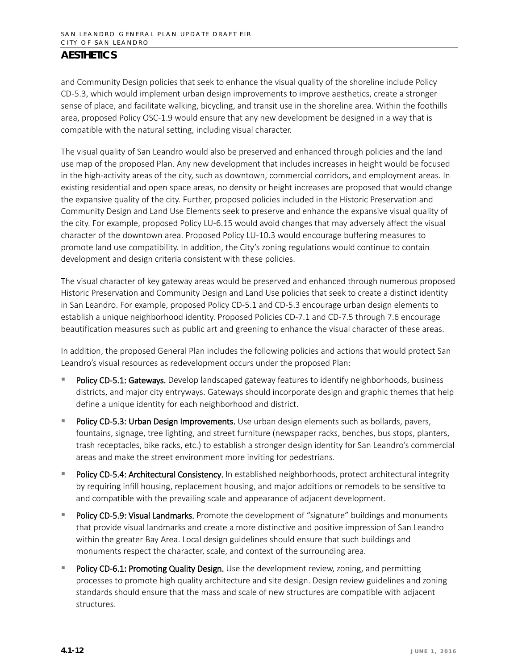and Community Design policies that seek to enhance the visual quality of the shoreline include Policy CD-5.3, which would implement urban design improvements to improve aesthetics, create a stronger sense of place, and facilitate walking, bicycling, and transit use in the shoreline area. Within the foothills area, proposed Policy OSC-1.9 would ensure that any new development be designed in a way that is compatible with the natural setting, including visual character.

The visual quality of San Leandro would also be preserved and enhanced through policies and the land use map of the proposed Plan. Any new development that includes increases in height would be focused in the high-activity areas of the city, such as downtown, commercial corridors, and employment areas. In existing residential and open space areas, no density or height increases are proposed that would change the expansive quality of the city. Further, proposed policies included in the Historic Preservation and Community Design and Land Use Elements seek to preserve and enhance the expansive visual quality of the city. For example, proposed Policy LU-6.15 would avoid changes that may adversely affect the visual character of the downtown area. Proposed Policy LU-10.3 would encourage buffering measures to promote land use compatibility. In addition, the City's zoning regulations would continue to contain development and design criteria consistent with these policies.

The visual character of key gateway areas would be preserved and enhanced through numerous proposed Historic Preservation and Community Design and Land Use policies that seek to create a distinct identity in San Leandro. For example, proposed Policy CD-5.1 and CD-5.3 encourage urban design elements to establish a unique neighborhood identity. Proposed Policies CD-7.1 and CD-7.5 through 7.6 encourage beautification measures such as public art and greening to enhance the visual character of these areas.

In addition, the proposed General Plan includes the following policies and actions that would protect San Leandro's visual resources as redevelopment occurs under the proposed Plan:

- Policy CD-5.1: Gateways. Develop landscaped gateway features to identify neighborhoods, business districts, and major city entryways. Gateways should incorporate design and graphic themes that help define a unique identity for each neighborhood and district.
- Policy CD-5.3: Urban Design Improvements. Use urban design elements such as bollards, pavers, fountains, signage, tree lighting, and street furniture (newspaper racks, benches, bus stops, planters, trash receptacles, bike racks, etc.) to establish a stronger design identity for San Leandro's commercial areas and make the street environment more inviting for pedestrians.
- Policy CD-5.4: Architectural Consistency. In established neighborhoods, protect architectural integrity by requiring infill housing, replacement housing, and major additions or remodels to be sensitive to and compatible with the prevailing scale and appearance of adjacent development.
- Policy CD-5.9: Visual Landmarks. Promote the development of "signature" buildings and monuments that provide visual landmarks and create a more distinctive and positive impression of San Leandro within the greater Bay Area. Local design guidelines should ensure that such buildings and monuments respect the character, scale, and context of the surrounding area.
- Policy CD-6.1: Promoting Quality Design. Use the development review, zoning, and permitting processes to promote high quality architecture and site design. Design review guidelines and zoning standards should ensure that the mass and scale of new structures are compatible with adjacent structures.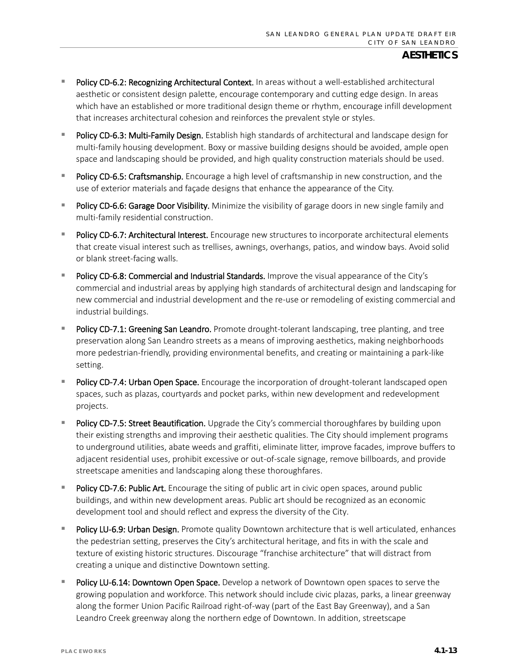- **Policy CD-6.2: Recognizing Architectural Context.** In areas without a well-established architectural aesthetic or consistent design palette, encourage contemporary and cutting edge design. In areas which have an established or more traditional design theme or rhythm, encourage infill development that increases architectural cohesion and reinforces the prevalent style or styles.
- Policy CD-6.3: Multi-Family Design. Establish high standards of architectural and landscape design for multi-family housing development. Boxy or massive building designs should be avoided, ample open space and landscaping should be provided, and high quality construction materials should be used.
- Policy CD-6.5: Craftsmanship. Encourage a high level of craftsmanship in new construction, and the use of exterior materials and façade designs that enhance the appearance of the City.
- Policy CD-6.6: Garage Door Visibility. Minimize the visibility of garage doors in new single family and multi-family residential construction.
- Policy CD-6.7: Architectural Interest. Encourage new structures to incorporate architectural elements that create visual interest such as trellises, awnings, overhangs, patios, and window bays. Avoid solid or blank street-facing walls.
- Policy CD-6.8: Commercial and Industrial Standards. Improve the visual appearance of the City's commercial and industrial areas by applying high standards of architectural design and landscaping for new commercial and industrial development and the re-use or remodeling of existing commercial and industrial buildings.
- Policy CD-7.1: Greening San Leandro. Promote drought-tolerant landscaping, tree planting, and tree preservation along San Leandro streets as a means of improving aesthetics, making neighborhoods more pedestrian-friendly, providing environmental benefits, and creating or maintaining a park-like setting.
- Policy CD-7.4: Urban Open Space. Encourage the incorporation of drought-tolerant landscaped open spaces, such as plazas, courtyards and pocket parks, within new development and redevelopment projects.
- Policy CD-7.5: Street Beautification. Upgrade the City's commercial thoroughfares by building upon their existing strengths and improving their aesthetic qualities. The City should implement programs to underground utilities, abate weeds and graffiti, eliminate litter, improve facades, improve buffers to adjacent residential uses, prohibit excessive or out-of-scale signage, remove billboards, and provide streetscape amenities and landscaping along these thoroughfares.
- Policy CD-7.6: Public Art. Encourage the siting of public art in civic open spaces, around public buildings, and within new development areas. Public art should be recognized as an economic development tool and should reflect and express the diversity of the City.
- Policy LU-6.9: Urban Design. Promote quality Downtown architecture that is well articulated, enhances the pedestrian setting, preserves the City's architectural heritage, and fits in with the scale and texture of existing historic structures. Discourage "franchise architecture" that will distract from creating a unique and distinctive Downtown setting.
- Policy LU-6.14: Downtown Open Space. Develop a network of Downtown open spaces to serve the growing population and workforce. This network should include civic plazas, parks, a linear greenway along the former Union Pacific Railroad right-of-way (part of the East Bay Greenway), and a San Leandro Creek greenway along the northern edge of Downtown. In addition, streetscape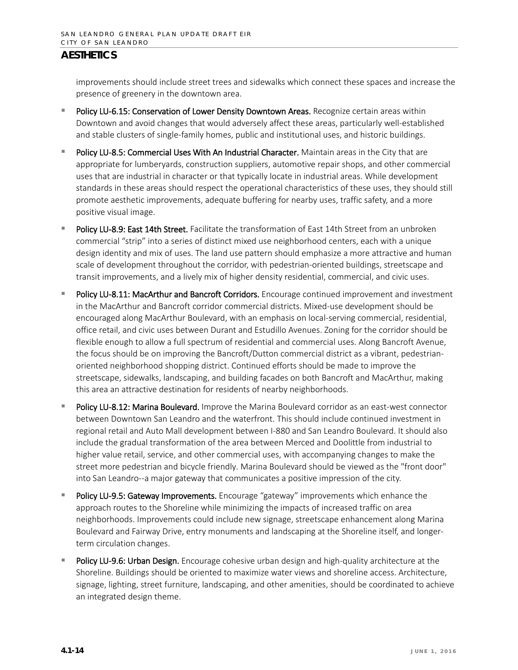improvements should include street trees and sidewalks which connect these spaces and increase the presence of greenery in the downtown area.

- Policy LU-6.15: Conservation of Lower Density Downtown Areas. Recognize certain areas within Downtown and avoid changes that would adversely affect these areas, particularly well-established and stable clusters of single-family homes, public and institutional uses, and historic buildings.
- Policy LU-8.5: Commercial Uses With An Industrial Character. Maintain areas in the City that are appropriate for lumberyards, construction suppliers, automotive repair shops, and other commercial uses that are industrial in character or that typically locate in industrial areas. While development standards in these areas should respect the operational characteristics of these uses, they should still promote aesthetic improvements, adequate buffering for nearby uses, traffic safety, and a more positive visual image.
- Policy LU-8.9: East 14th Street. Facilitate the transformation of East 14th Street from an unbroken commercial "strip" into a series of distinct mixed use neighborhood centers, each with a unique design identity and mix of uses. The land use pattern should emphasize a more attractive and human scale of development throughout the corridor, with pedestrian-oriented buildings, streetscape and transit improvements, and a lively mix of higher density residential, commercial, and civic uses.
- Policy LU-8.11: MacArthur and Bancroft Corridors. Encourage continued improvement and investment in the MacArthur and Bancroft corridor commercial districts. Mixed-use development should be encouraged along MacArthur Boulevard, with an emphasis on local-serving commercial, residential, office retail, and civic uses between Durant and Estudillo Avenues. Zoning for the corridor should be flexible enough to allow a full spectrum of residential and commercial uses. Along Bancroft Avenue, the focus should be on improving the Bancroft/Dutton commercial district as a vibrant, pedestrianoriented neighborhood shopping district. Continued efforts should be made to improve the streetscape, sidewalks, landscaping, and building facades on both Bancroft and MacArthur, making this area an attractive destination for residents of nearby neighborhoods.
- Policy LU-8.12: Marina Boulevard. Improve the Marina Boulevard corridor as an east-west connector between Downtown San Leandro and the waterfront. This should include continued investment in regional retail and Auto Mall development between I-880 and San Leandro Boulevard. It should also include the gradual transformation of the area between Merced and Doolittle from industrial to higher value retail, service, and other commercial uses, with accompanying changes to make the street more pedestrian and bicycle friendly. Marina Boulevard should be viewed as the "front door" into San Leandro--a major gateway that communicates a positive impression of the city.
- Policy LU-9.5: Gateway Improvements. Encourage "gateway" improvements which enhance the approach routes to the Shoreline while minimizing the impacts of increased traffic on area neighborhoods. Improvements could include new signage, streetscape enhancement along Marina Boulevard and Fairway Drive, entry monuments and landscaping at the Shoreline itself, and longerterm circulation changes.
- Policy LU-9.6: Urban Design. Encourage cohesive urban design and high-quality architecture at the Shoreline. Buildings should be oriented to maximize water views and shoreline access. Architecture, signage, lighting, street furniture, landscaping, and other amenities, should be coordinated to achieve an integrated design theme.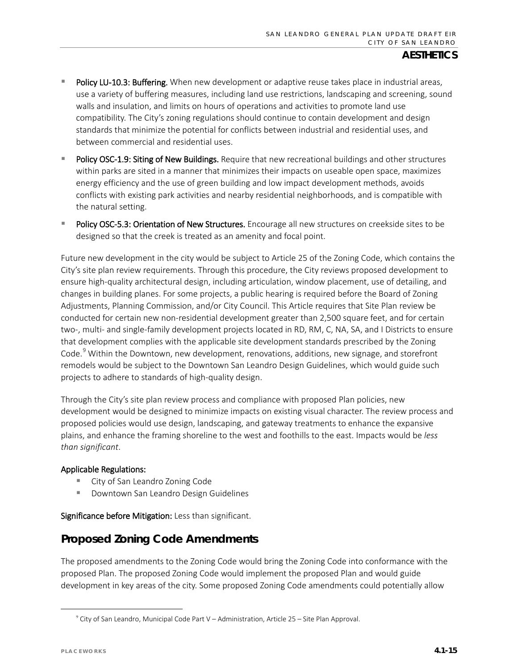- Policy LU-10.3: Buffering. When new development or adaptive reuse takes place in industrial areas, use a variety of buffering measures, including land use restrictions, landscaping and screening, sound walls and insulation, and limits on hours of operations and activities to promote land use compatibility. The City's zoning regulations should continue to contain development and design standards that minimize the potential for conflicts between industrial and residential uses, and between commercial and residential uses.
- Policy OSC-1.9: Siting of New Buildings. Require that new recreational buildings and other structures within parks are sited in a manner that minimizes their impacts on useable open space, maximizes energy efficiency and the use of green building and low impact development methods, avoids conflicts with existing park activities and nearby residential neighborhoods, and is compatible with the natural setting.
- Policy OSC-5.3: Orientation of New Structures. Encourage all new structures on creekside sites to be designed so that the creek is treated as an amenity and focal point.

Future new development in the city would be subject to Article 25 of the Zoning Code, which contains the City's site plan review requirements. Through this procedure, the City reviews proposed development to ensure high-quality architectural design, including articulation, window placement, use of detailing, and changes in building planes. For some projects, a public hearing is required before the Board of Zoning Adjustments, Planning Commission, and/or City Council. This Article requires that Site Plan review be conducted for certain new non-residential development greater than 2,500 square feet, and for certain two-, multi- and single-family development projects located in RD, RM, C, NA, SA, and I Districts to ensure that development complies with the applicable site development standards prescribed by the Zoning Code.<sup>[9](#page-14-0)</sup> Within the Downtown, new development, renovations, additions, new signage, and storefront remodels would be subject to the Downtown San Leandro Design Guidelines, which would guide such projects to adhere to standards of high-quality design.

Through the City's site plan review process and compliance with proposed Plan policies, new development would be designed to minimize impacts on existing visual character. The review process and proposed policies would use design, landscaping, and gateway treatments to enhance the expansive plains, and enhance the framing shoreline to the west and foothills to the east. Impacts would be *less than significant*.

#### Applicable Regulations:

- **Example 2** City of San Leandro Zoning Code
- **Downtown San Leandro Design Guidelines**

Significance before Mitigation: Less than significant.

# **Proposed Zoning Code Amendments**

The proposed amendments to the Zoning Code would bring the Zoning Code into conformance with the proposed Plan. The proposed Zoning Code would implement the proposed Plan and would guide development in key areas of the city. Some proposed Zoning Code amendments could potentially allow

<span id="page-14-0"></span><sup>9</sup> City of San Leandro, Municipal Code Part V – Administration, Article 25 – Site Plan Approval.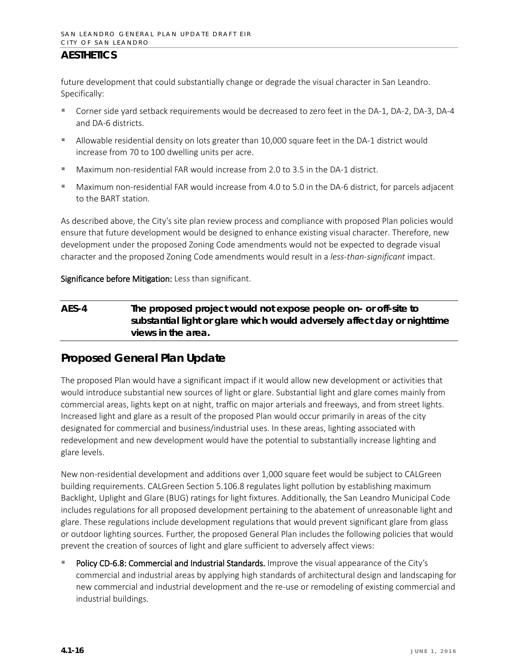future development that could substantially change or degrade the visual character in San Leandro. Specifically:

- Corner side yard setback requirements would be decreased to zero feet in the DA-1, DA-2, DA-3, DA-4 and DA-6 districts.
- Allowable residential density on lots greater than 10,000 square feet in the DA-1 district would increase from 70 to 100 dwelling units per acre.
- Maximum non-residential FAR would increase from 2.0 to 3.5 in the DA-1 district.
- Maximum non-residential FAR would increase from 4.0 to 5.0 in the DA-6 district, for parcels adjacent to the BART station.

As described above, the City's site plan review process and compliance with proposed Plan policies would ensure that future development would be designed to enhance existing visual character. Therefore, new development under the proposed Zoning Code amendments would not be expected to degrade visual character and the proposed Zoning Code amendments would result in a *less-than-significant* impact.

#### Significance before Mitigation: Less than significant.

### **AES-4 The proposed project would not expose people on- or off-site to substantial light or glare which would adversely affect day or nighttime views in the area.**

# **Proposed General Plan Update**

The proposed Plan would have a significant impact if it would allow new development or activities that would introduce substantial new sources of light or glare. Substantial light and glare comes mainly from commercial areas, lights kept on at night, traffic on major arterials and freeways, and from street lights. Increased light and glare as a result of the proposed Plan would occur primarily in areas of the city designated for commercial and business/industrial uses. In these areas, lighting associated with redevelopment and new development would have the potential to substantially increase lighting and glare levels.

New non-residential development and additions over 1,000 square feet would be subject to CALGreen building requirements. CALGreen Section 5.106.8 regulates light pollution by establishing maximum Backlight, Uplight and Glare (BUG) ratings for light fixtures. Additionally, the San Leandro Municipal Code includes regulations for all proposed development pertaining to the abatement of unreasonable light and glare. These regulations include development regulations that would prevent significant glare from glass or outdoor lighting sources. Further, the proposed General Plan includes the following policies that would prevent the creation of sources of light and glare sufficient to adversely affect views:

Policy CD-6.8: Commercial and Industrial Standards. Improve the visual appearance of the City's commercial and industrial areas by applying high standards of architectural design and landscaping for new commercial and industrial development and the re-use or remodeling of existing commercial and industrial buildings.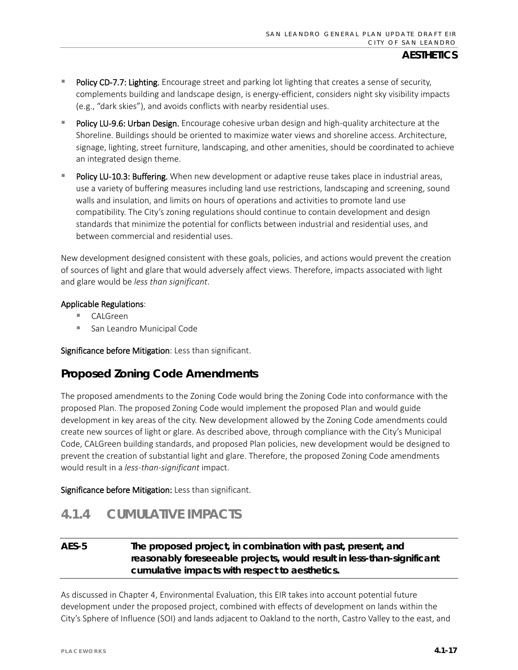- **Policy CD-7.7: Lighting.** Encourage street and parking lot lighting that creates a sense of security, complements building and landscape design, is energy-efficient, considers night sky visibility impacts (e.g., "dark skies"), and avoids conflicts with nearby residential uses.
- Policy LU-9.6: Urban Design. Encourage cohesive urban design and high-quality architecture at the Shoreline. Buildings should be oriented to maximize water views and shoreline access. Architecture, signage, lighting, street furniture, landscaping, and other amenities, should be coordinated to achieve an integrated design theme.
- Policy LU-10.3: Buffering. When new development or adaptive reuse takes place in industrial areas, use a variety of buffering measures including land use restrictions, landscaping and screening, sound walls and insulation, and limits on hours of operations and activities to promote land use compatibility. The City's zoning regulations should continue to contain development and design standards that minimize the potential for conflicts between industrial and residential uses, and between commercial and residential uses.

New development designed consistent with these goals, policies, and actions would prevent the creation of sources of light and glare that would adversely affect views. Therefore, impacts associated with light and glare would be *less than significant*.

#### Applicable Regulations:

- CALGreen
- San Leandro Municipal Code

Significance before Mitigation: Less than significant.

### **Proposed Zoning Code Amendments**

The proposed amendments to the Zoning Code would bring the Zoning Code into conformance with the proposed Plan. The proposed Zoning Code would implement the proposed Plan and would guide development in key areas of the city. New development allowed by the Zoning Code amendments could create new sources of light or glare. As described above, through compliance with the City's Municipal Code, CALGreen building standards, and proposed Plan policies, new development would be designed to prevent the creation of substantial light and glare. Therefore, the proposed Zoning Code amendments would result in a *less-than-significant* impact.

Significance before Mitigation: Less than significant.

# **4.1.4 CUMULATIVE IMPACTS**

### **AES-5 The proposed project, in combination with past, present, and reasonably foreseeable projects, would result in less-than-significant cumulative impacts with respect to aesthetics.**

As discussed in Chapter 4, Environmental Evaluation, this EIR takes into account potential future development under the proposed project, combined with effects of development on lands within the City's Sphere of Influence (SOI) and lands adjacent to Oakland to the north, Castro Valley to the east, and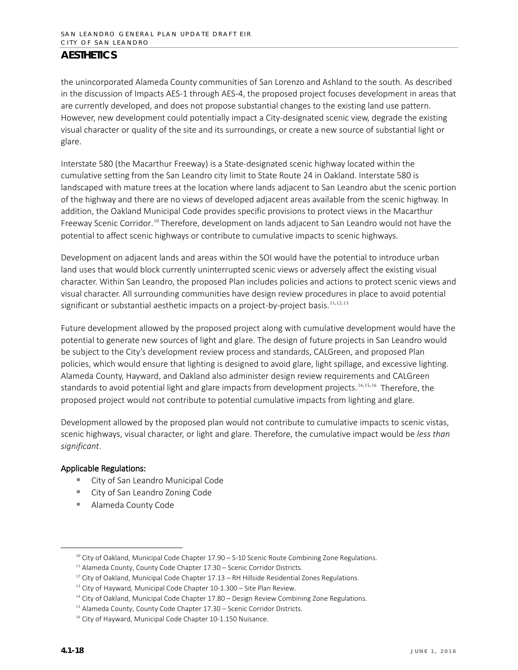the unincorporated Alameda County communities of San Lorenzo and Ashland to the south. As described in the discussion of Impacts AES-1 through AES-4, the proposed project focuses development in areas that are currently developed, and does not propose substantial changes to the existing land use pattern. However, new development could potentially impact a City-designated scenic view, degrade the existing visual character or quality of the site and its surroundings, or create a new source of substantial light or glare.

Interstate 580 (the Macarthur Freeway) is a State-designated scenic highway located within the cumulative setting from the San Leandro city limit to State Route 24 in Oakland. Interstate 580 is landscaped with mature trees at the location where lands adjacent to San Leandro abut the scenic portion of the highway and there are no views of developed adjacent areas available from the scenic highway. In addition, the Oakland Municipal Code provides specific provisions to protect views in the Macarthur Freeway Scenic Corridor.<sup>[10](#page-17-0)</sup> Therefore, development on lands adjacent to San Leandro would not have the potential to affect scenic highways or contribute to cumulative impacts to scenic highways.

Development on adjacent lands and areas within the SOI would have the potential to introduce urban land uses that would block currently uninterrupted scenic views or adversely affect the existing visual character. Within San Leandro, the proposed Plan includes policies and actions to protect scenic views and visual character. All surrounding communities have design review procedures in place to avoid potential significant or substantial aesthetic impacts on a project-by-project basis.<sup>[11](#page-17-1),[12](#page-17-2),[13](#page-17-3)</sup>

Future development allowed by the proposed project along with cumulative development would have the potential to generate new sources of light and glare. The design of future projects in San Leandro would be subject to the City's development review process and standards, CALGreen, and proposed Plan policies, which would ensure that lighting is designed to avoid glare, light spillage, and excessive lighting. Alameda County, Hayward, and Oakland also administer design review requirements and CALGreen standards to avoid potential light and glare impacts from development projects.<sup>[14](#page-17-4),[15](#page-17-5),[16](#page-17-6)</sup> Therefore, the proposed project would not contribute to potential cumulative impacts from lighting and glare.

Development allowed by the proposed plan would not contribute to cumulative impacts to scenic vistas, scenic highways, visual character, or light and glare. Therefore, the cumulative impact would be *less than significant*.

#### Applicable Regulations:

- City of San Leandro Municipal Code
- City of San Leandro Zoning Code
- Alameda County Code

<span id="page-17-0"></span> $10$  City of Oakland, Municipal Code Chapter  $17.90 - S-10$  Scenic Route Combining Zone Regulations.

<span id="page-17-1"></span><sup>&</sup>lt;sup>11</sup> Alameda County, County Code Chapter 17.30 – Scenic Corridor Districts.

<span id="page-17-2"></span> $12$  City of Oakland, Municipal Code Chapter 17.13 – RH Hillside Residential Zones Regulations.

<span id="page-17-3"></span> $13$  City of Hayward, Municipal Code Chapter 10-1.300 – Site Plan Review.

<sup>&</sup>lt;sup>14</sup> City of Oakland, Municipal Code Chapter 17.80 - Design Review Combining Zone Regulations.

<span id="page-17-6"></span><span id="page-17-5"></span><span id="page-17-4"></span><sup>&</sup>lt;sup>15</sup> Alameda County, County Code Chapter 17.30 - Scenic Corridor Districts.

<sup>&</sup>lt;sup>16</sup> City of Hayward, Municipal Code Chapter 10-1.150 Nuisance.